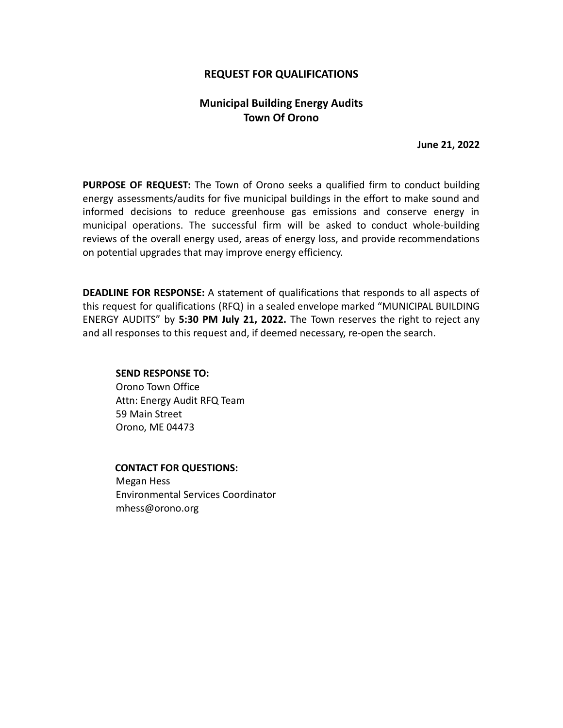## **REQUEST FOR QUALIFICATIONS**

# **Municipal Building Energy Audits Town Of Orono**

**June 21, 2022**

**PURPOSE OF REQUEST:** The Town of Orono seeks a qualified firm to conduct building energy assessments/audits for five municipal buildings in the effort to make sound and informed decisions to reduce greenhouse gas emissions and conserve energy in municipal operations. The successful firm will be asked to conduct whole-building reviews of the overall energy used, areas of energy loss, and provide recommendations on potential upgrades that may improve energy efficiency.

**DEADLINE FOR RESPONSE:** A statement of qualifications that responds to all aspects of this request for qualifications (RFQ) in a sealed envelope marked "MUNICIPAL BUILDING ENERGY AUDITS" by **5:30 PM July 21, 2022.** The Town reserves the right to reject any and all responses to this request and, if deemed necessary, re-open the search.

### **SEND RESPONSE TO:**

Orono Town Office Attn: Energy Audit RFQ Team 59 Main Street Orono, ME 04473

### **CONTACT FOR QUESTIONS:**

Megan Hess Environmental Services Coordinator mhess@orono.org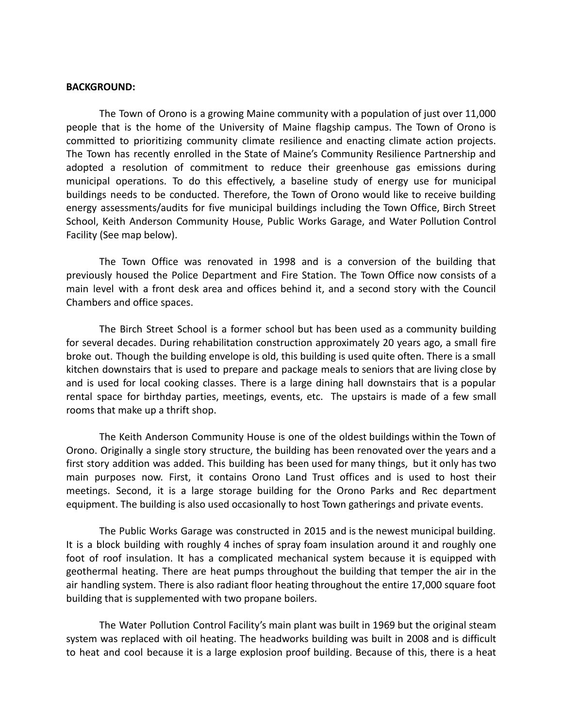### **BACKGROUND:**

The Town of Orono is a growing Maine community with a population of just over 11,000 people that is the home of the University of Maine flagship campus. The Town of Orono is committed to prioritizing community climate resilience and enacting climate action projects. The Town has recently enrolled in the State of Maine's Community Resilience Partnership and adopted a resolution of commitment to reduce their greenhouse gas emissions during municipal operations. To do this effectively, a baseline study of energy use for municipal buildings needs to be conducted. Therefore, the Town of Orono would like to receive building energy assessments/audits for five municipal buildings including the Town Office, Birch Street School, Keith Anderson Community House, Public Works Garage, and Water Pollution Control Facility (See map below).

The Town Office was renovated in 1998 and is a conversion of the building that previously housed the Police Department and Fire Station. The Town Office now consists of a main level with a front desk area and offices behind it, and a second story with the Council Chambers and office spaces.

The Birch Street School is a former school but has been used as a community building for several decades. During rehabilitation construction approximately 20 years ago, a small fire broke out. Though the building envelope is old, this building is used quite often. There is a small kitchen downstairs that is used to prepare and package meals to seniors that are living close by and is used for local cooking classes. There is a large dining hall downstairs that is a popular rental space for birthday parties, meetings, events, etc. The upstairs is made of a few small rooms that make up a thrift shop.

The Keith Anderson Community House is one of the oldest buildings within the Town of Orono. Originally a single story structure, the building has been renovated over the years and a first story addition was added. This building has been used for many things, but it only has two main purposes now. First, it contains Orono Land Trust offices and is used to host their meetings. Second, it is a large storage building for the Orono Parks and Rec department equipment. The building is also used occasionally to host Town gatherings and private events.

The Public Works Garage was constructed in 2015 and is the newest municipal building. It is a block building with roughly 4 inches of spray foam insulation around it and roughly one foot of roof insulation. It has a complicated mechanical system because it is equipped with geothermal heating. There are heat pumps throughout the building that temper the air in the air handling system. There is also radiant floor heating throughout the entire 17,000 square foot building that is supplemented with two propane boilers.

The Water Pollution Control Facility's main plant was built in 1969 but the original steam system was replaced with oil heating. The headworks building was built in 2008 and is difficult to heat and cool because it is a large explosion proof building. Because of this, there is a heat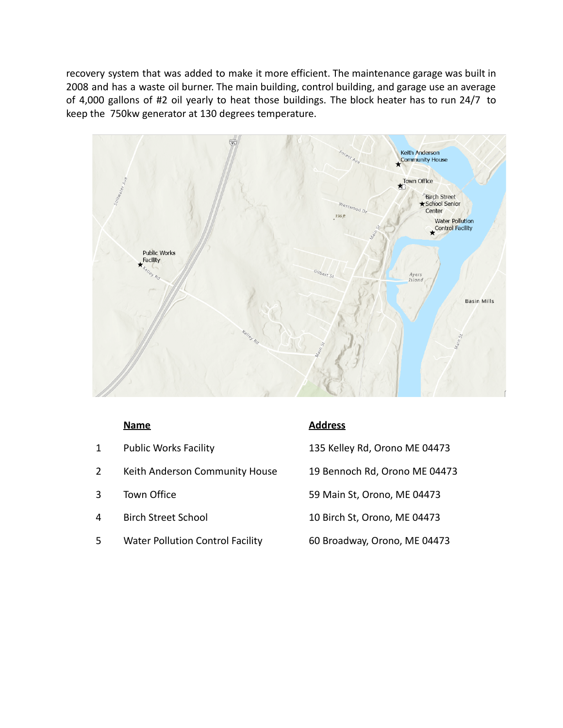recovery system that was added to make it more efficient. The maintenance garage was built in 2008 and has a waste oil burner. The main building, control building, and garage use an average of 4,000 gallons of #2 oil yearly to heat those buildings. The block heater has to run 24/7 to keep the 750kw generator at 130 degrees temperature.



- 1 Public Works Facility 135 Kelley Rd, Orono ME 04473 2 Keith Anderson Community House 19 Bennoch Rd, Orono ME 04473 3 Town Office 59 Main St, Orono, ME 04473 4 Birch Street School 10 Birch St, Orono, ME 04473
- 5 Water Pollution Control Facility 60 Broadway, Orono, ME 04473

## **Name Address**

- 
- 
- 
- 
-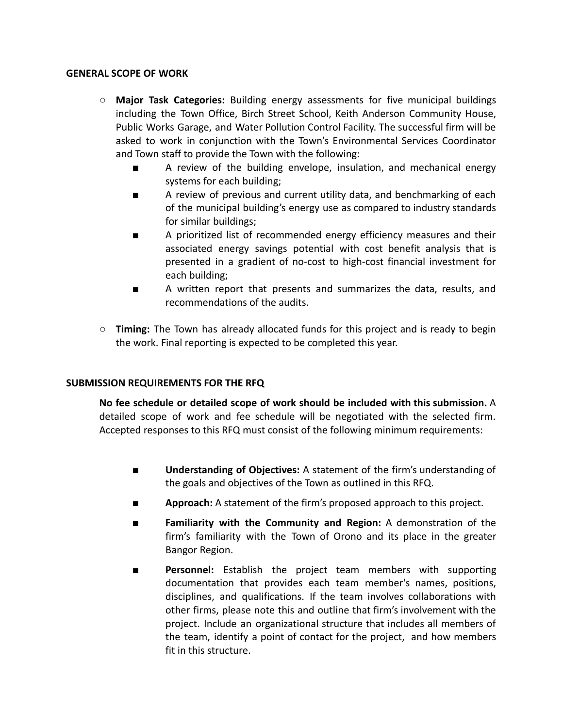## **GENERAL SCOPE OF WORK**

- **○ Major Task Categories:** Building energy assessments for five municipal buildings including the Town Office, Birch Street School, Keith Anderson Community House, Public Works Garage, and Water Pollution Control Facility. The successful firm will be asked to work in conjunction with the Town's Environmental Services Coordinator and Town staff to provide the Town with the following:
	- **■** A review of the building envelope, insulation, and mechanical energy systems for each building;
	- **■** A review of previous and current utility data, and benchmarking of each of the municipal building's energy use as compared to industry standards for similar buildings;
	- A prioritized list of recommended energy efficiency measures and their associated energy savings potential with cost benefit analysis that is presented in a gradient of no-cost to high-cost financial investment for each building;
	- A written report that presents and summarizes the data, results, and recommendations of the audits.
- **○ Timing:** The Town has already allocated funds for this project and is ready to begin the work. Final reporting is expected to be completed this year.

## **SUBMISSION REQUIREMENTS FOR THE RFQ**

**No fee schedule or detailed scope of work should be included with this submission.** A detailed scope of work and fee schedule will be negotiated with the selected firm. Accepted responses to this RFQ must consist of the following minimum requirements:

- **■ Understanding of Objectives:** A statement of the firm's understanding of the goals and objectives of the Town as outlined in this RFQ.
- **■ Approach:** A statement of the firm's proposed approach to this project.
- **■ Familiarity with the Community and Region:** A demonstration of the firm's familiarity with the Town of Orono and its place in the greater Bangor Region.
- **■ Personnel:** Establish the project team members with supporting documentation that provides each team member's names, positions, disciplines, and qualifications. If the team involves collaborations with other firms, please note this and outline that firm's involvement with the project. Include an organizational structure that includes all members of the team, identify a point of contact for the project, and how members fit in this structure.